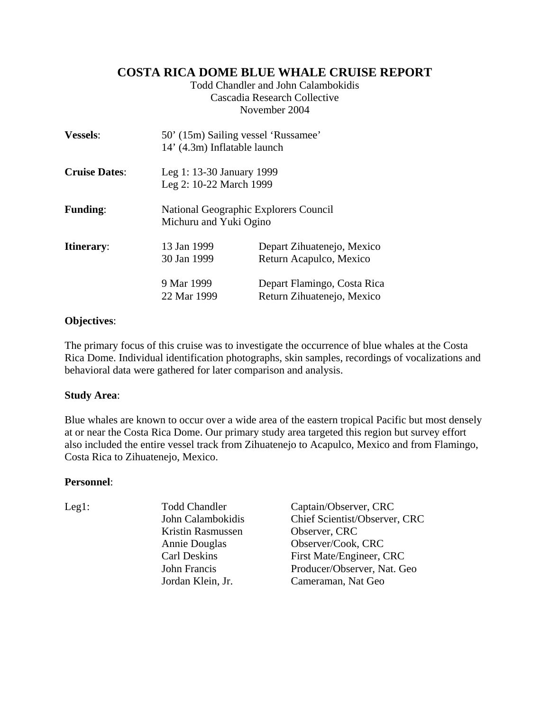# **COSTA RICA DOME BLUE WHALE CRUISE REPORT**

Todd Chandler and John Calambokidis Cascadia Research Collective November 2004

| <b>Vessels:</b>      | 14' (4.3m) Inflatable launch                         | 50' (15m) Sailing vessel 'Russamee'                             |  |  |  |  |
|----------------------|------------------------------------------------------|-----------------------------------------------------------------|--|--|--|--|
| <b>Cruise Dates:</b> | Leg 1: 13-30 January 1999<br>Leg 2: 10-22 March 1999 |                                                                 |  |  |  |  |
| <b>Funding:</b>      |                                                      | National Geographic Explorers Council<br>Michuru and Yuki Ogino |  |  |  |  |
| <b>Itinerary:</b>    | 13 Jan 1999<br>30 Jan 1999                           | Depart Zihuatenejo, Mexico<br>Return Acapulco, Mexico           |  |  |  |  |
|                      | 9 Mar 1999<br>22 Mar 1999                            | Depart Flamingo, Costa Rica<br>Return Zihuatenejo, Mexico       |  |  |  |  |

## **Objectives**:

The primary focus of this cruise was to investigate the occurrence of blue whales at the Costa Rica Dome. Individual identification photographs, skin samples, recordings of vocalizations and behavioral data were gathered for later comparison and analysis.

### **Study Area**:

Blue whales are known to occur over a wide area of the eastern tropical Pacific but most densely at or near the Costa Rica Dome. Our primary study area targeted this region but survey effort also included the entire vessel track from Zihuatenejo to Acapulco, Mexico and from Flamingo, Costa Rica to Zihuatenejo, Mexico.

### **Personnel**:

Kristin Rasmussen Observer, CRC

Leg1: Todd Chandler Captain/Observer, CRC John Calambokidis Chief Scientist/Observer, CRC Annie Douglas Observer/Cook, CRC Carl Deskins First Mate/Engineer, CRC John Francis Producer/Observer, Nat. Geo Jordan Klein, Jr. Cameraman, Nat Geo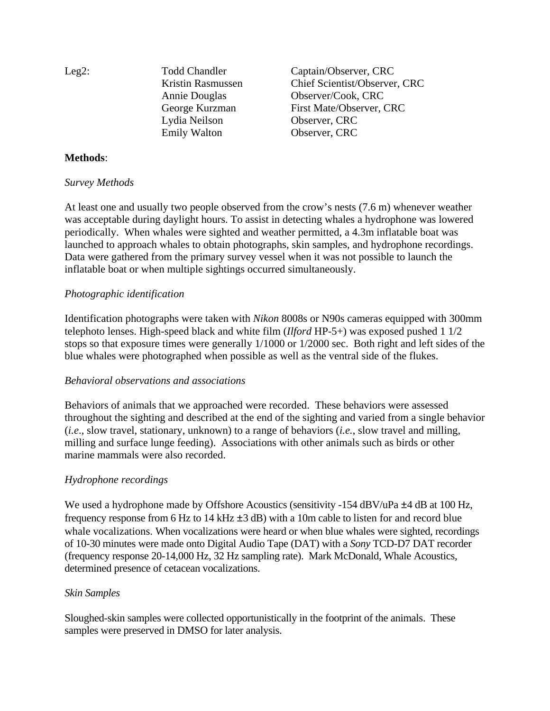| Leg2: | <b>Todd Chandler</b> | Captain/Observer, CRC         |
|-------|----------------------|-------------------------------|
|       | Kristin Rasmussen    | Chief Scientist/Observer, CRC |
|       | Annie Douglas        | Observer/Cook, CRC            |
|       | George Kurzman       | First Mate/Observer, CRC      |
|       | Lydia Neilson        | Observer, CRC                 |
|       | <b>Emily Walton</b>  | Observer, CRC                 |

# **Methods**:

#### *Survey Methods*

At least one and usually two people observed from the crow's nests (7.6 m) whenever weather was acceptable during daylight hours. To assist in detecting whales a hydrophone was lowered periodically. When whales were sighted and weather permitted, a 4.3m inflatable boat was launched to approach whales to obtain photographs, skin samples, and hydrophone recordings. Data were gathered from the primary survey vessel when it was not possible to launch the inflatable boat or when multiple sightings occurred simultaneously.

### *Photographic identification*

Identification photographs were taken with *Nikon* 8008s or N90s cameras equipped with 300mm telephoto lenses. High-speed black and white film (*Ilford* HP-5+) was exposed pushed 1 1/2 stops so that exposure times were generally 1/1000 or 1/2000 sec. Both right and left sides of the blue whales were photographed when possible as well as the ventral side of the flukes.

### *Behavioral observations and associations*

Behaviors of animals that we approached were recorded. These behaviors were assessed throughout the sighting and described at the end of the sighting and varied from a single behavior (*i.e*., slow travel, stationary, unknown) to a range of behaviors (*i.e.*, slow travel and milling, milling and surface lunge feeding). Associations with other animals such as birds or other marine mammals were also recorded.

### *Hydrophone recordings*

We used a hydrophone made by Offshore Acoustics (sensitivity -154 dBV/uPa  $\pm$ 4 dB at 100 Hz, frequency response from 6 Hz to 14 kHz  $\pm$ 3 dB) with a 10m cable to listen for and record blue whale vocalizations. When vocalizations were heard or when blue whales were sighted, recordings of 10-30 minutes were made onto Digital Audio Tape (DAT) with a *Sony* TCD-D7 DAT recorder (frequency response 20-14,000 Hz, 32 Hz sampling rate). Mark McDonald, Whale Acoustics, determined presence of cetacean vocalizations.

### *Skin Samples*

Sloughed-skin samples were collected opportunistically in the footprint of the animals. These samples were preserved in DMSO for later analysis.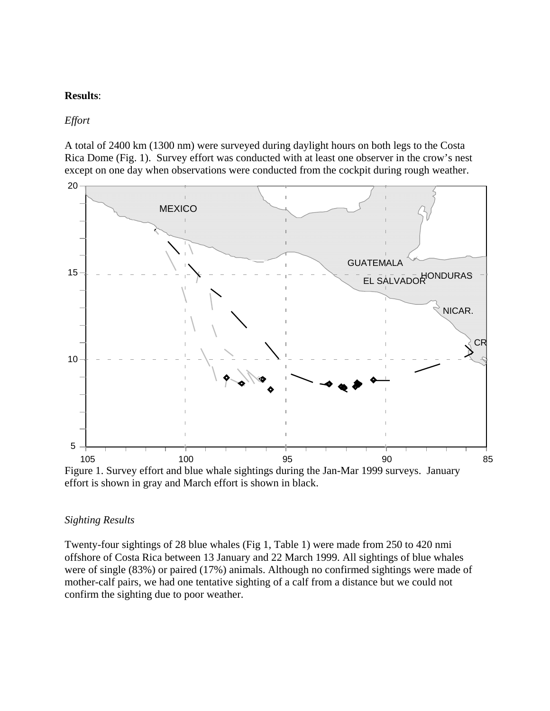### **Results**:

*Effort* 

A total of 2400 km (1300 nm) were surveyed during daylight hours on both legs to the Costa Rica Dome (Fig. 1). Survey effort was conducted with at least one observer in the crow's nest except on one day when observations were conducted from the cockpit during rough weather.



effort is shown in gray and March effort is shown in black.

#### *Sighting Results*

Twenty-four sightings of 28 blue whales (Fig 1, Table 1) were made from 250 to 420 nmi offshore of Costa Rica between 13 January and 22 March 1999. All sightings of blue whales were of single (83%) or paired (17%) animals. Although no confirmed sightings were made of mother-calf pairs, we had one tentative sighting of a calf from a distance but we could not confirm the sighting due to poor weather.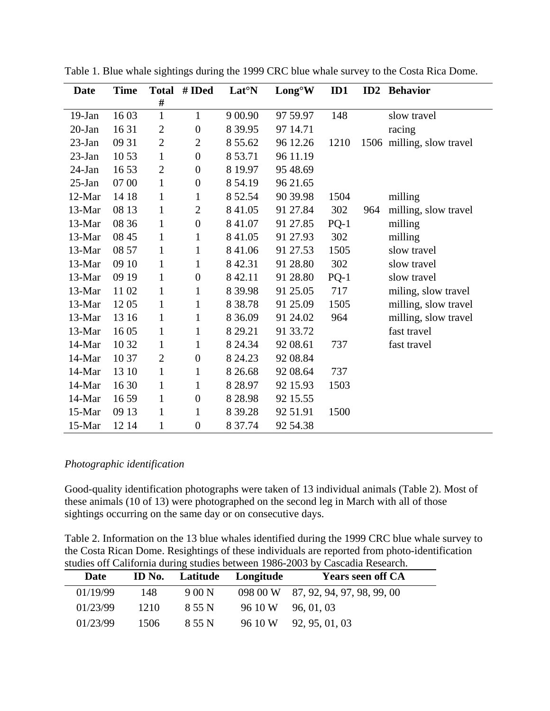| <b>Date</b> | <b>Time</b> | <b>Total</b>   | # IDed           | Lat <sup>o</sup> N | Long <sup>°</sup> W | ID1    | ID2 | <b>Behavior</b>           |
|-------------|-------------|----------------|------------------|--------------------|---------------------|--------|-----|---------------------------|
|             |             | #              |                  |                    |                     |        |     |                           |
| $19-Ian$    | 1603        | $\mathbf{1}$   | 1                | 9 0 0.90           | 97 59.97            | 148    |     | slow travel               |
| $20$ -Jan   | 1631        | $\mathbf{2}$   | $\boldsymbol{0}$ | 8 3 9.95           | 97 14.71            |        |     | racing                    |
| $23$ -Jan   | 09 31       | $\overline{2}$ | $\overline{2}$   | 8 5 5 . 6 2        | 96 12.26            | 1210   |     | 1506 milling, slow travel |
| $23$ -Jan   | 10 53       | $\mathbf{1}$   | $\boldsymbol{0}$ | 8 5 3.71           | 96 11.19            |        |     |                           |
| $24$ -Jan   | 1653        | $\overline{2}$ | $\boldsymbol{0}$ | 8 19.97            | 95 48.69            |        |     |                           |
| $25$ -Jan   | 07 00       | $\mathbf{1}$   | $\boldsymbol{0}$ | 8 54.19            | 96 21.65            |        |     |                           |
| 12-Mar      | 14 18       | $\mathbf{1}$   | $\mathbf{1}$     | 8 52.54            | 90 39.98            | 1504   |     | milling                   |
| 13-Mar      | 08 13       | 1              | $\overline{2}$   | 8 4 1 . 0 5        | 91 27.84            | 302    | 964 | milling, slow travel      |
| 13-Mar      | 08 36       | $\mathbf{1}$   | $\boldsymbol{0}$ | 8 4 1 . 0 7        | 91 27.85            | $PQ-1$ |     | milling                   |
| 13-Mar      | 08 45       | $\mathbf{1}$   | $\mathbf{1}$     | 8 41.05            | 91 27.93            | 302    |     | milling                   |
| 13-Mar      | 08 57       | $\mathbf{1}$   | $\mathbf{1}$     | 8 41.06            | 91 27.53            | 1505   |     | slow travel               |
| 13-Mar      | 09 10       | $\mathbf{1}$   | $\mathbf{1}$     | 8 4 2.31           | 91 28.80            | 302    |     | slow travel               |
| 13-Mar      | 09 19       | $\mathbf{1}$   | $\boldsymbol{0}$ | 8 4 2.11           | 91 28.80            | $PQ-1$ |     | slow travel               |
| 13-Mar      | 1102        | $\mathbf{1}$   | $\mathbf{1}$     | 8 3 9.98           | 91 25.05            | 717    |     | miling, slow travel       |
| 13-Mar      | 1205        | $\mathbf{1}$   | $\mathbf{1}$     | 8 3 8.78           | 91 25.09            | 1505   |     | milling, slow travel      |
| 13-Mar      | 13 16       | $\mathbf{1}$   | 1                | 8 3 6.09           | 91 24.02            | 964    |     | milling, slow travel      |
| 13-Mar      | 1605        | $\mathbf{1}$   | $\mathbf{1}$     | 8 29.21            | 91 33.72            |        |     | fast travel               |
| 14-Mar      | 10 32       | $\mathbf{1}$   | $\mathbf{1}$     | 8 24.34            | 92 08.61            | 737    |     | fast travel               |
| 14-Mar      | 10 37       | $\overline{2}$ | $\boldsymbol{0}$ | 8 24.23            | 92 08.84            |        |     |                           |
| 14-Mar      | 13 10       | $\mathbf{1}$   | 1                | 8 2 6.68           | 92 08.64            | 737    |     |                           |
| 14-Mar      | 16 30       | $\mathbf{1}$   | 1                | 8 2 8.97           | 92 15.93            | 1503   |     |                           |
| 14-Mar      | 16 59       | 1              | $\boldsymbol{0}$ | 8 2 8 .98          | 92 15.55            |        |     |                           |
| 15-Mar      | 09 13       | $\mathbf{1}$   | $\mathbf{1}$     | 8 3 9.28           | 92 51.91            | 1500   |     |                           |
| 15-Mar      | 12 14       | $\mathbf{1}$   | $\boldsymbol{0}$ | 8 37.74            | 92 54.38            |        |     |                           |

Table 1. Blue whale sightings during the 1999 CRC blue whale survey to the Costa Rica Dome.

### *Photographic identification*

Good-quality identification photographs were taken of 13 individual animals (Table 2). Most of these animals (10 of 13) were photographed on the second leg in March with all of those sightings occurring on the same day or on consecutive days.

Table 2. Information on the 13 blue whales identified during the 1999 CRC blue whale survey to the Costa Rican Dome. Resightings of these individuals are reported from photo-identification studies off California during studies between 1986-2003 by Cascadia Research.

| Date     | ID No. | Latitude | Longitude | <b>Years seen off CA</b>            |
|----------|--------|----------|-----------|-------------------------------------|
| 01/19/99 | 148    | 9 00 N   |           | 098 00 W 87, 92, 94, 97, 98, 99, 00 |
| 01/23/99 | 1210   | 8 55 N   | 96 10 W   | 96, 01, 03                          |
| 01/23/99 | 1506   | 8 55 N   | 96 10 W   | 92, 95, 01, 03                      |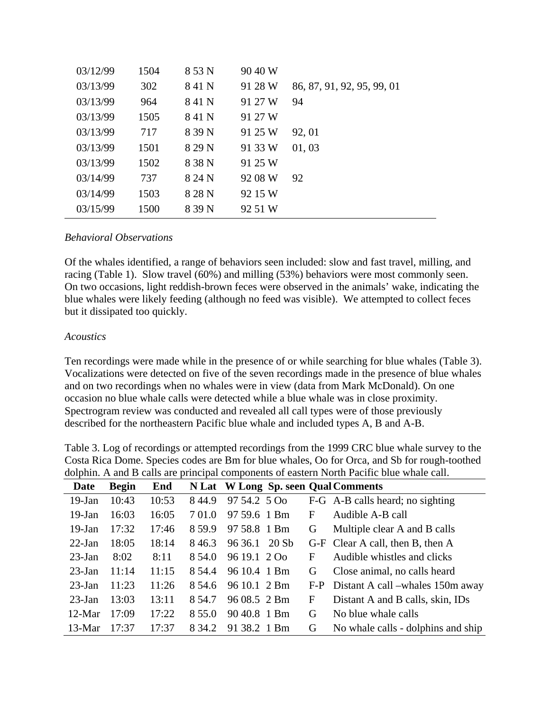| 03/12/99 | 1504 | 8 53 N | 90 40 W |                            |
|----------|------|--------|---------|----------------------------|
| 03/13/99 | 302  | 841 N  | 91 28 W | 86, 87, 91, 92, 95, 99, 01 |
| 03/13/99 | 964  | 841 N  | 91 27 W | 94                         |
| 03/13/99 | 1505 | 841 N  | 91 27 W |                            |
| 03/13/99 | 717  | 8 39 N | 91 25 W | 92, 01                     |
| 03/13/99 | 1501 | 8 29 N | 91 33 W | 01, 03                     |
| 03/13/99 | 1502 | 8 38 N | 91 25 W |                            |
| 03/14/99 | 737  | 8 24 N | 92 08 W | 92                         |
| 03/14/99 | 1503 | 828N   | 92 15 W |                            |
| 03/15/99 | 1500 | 8 39 N | 92 51 W |                            |

### *Behavioral Observations*

Of the whales identified, a range of behaviors seen included: slow and fast travel, milling, and racing (Table 1). Slow travel (60%) and milling (53%) behaviors were most commonly seen. On two occasions, light reddish-brown feces were observed in the animals' wake, indicating the blue whales were likely feeding (although no feed was visible). We attempted to collect feces but it dissipated too quickly.

#### *Acoustics*

Ten recordings were made while in the presence of or while searching for blue whales (Table 3). Vocalizations were detected on five of the seven recordings made in the presence of blue whales and on two recordings when no whales were in view (data from Mark McDonald). On one occasion no blue whale calls were detected while a blue whale was in close proximity. Spectrogram review was conducted and revealed all call types were of those previously described for the northeastern Pacific blue whale and included types A, B and A-B.

| Date      | <b>Begin</b> | End   |        |              |       |   | N Lat W Long Sp. seen Qual Comments  |
|-----------|--------------|-------|--------|--------------|-------|---|--------------------------------------|
| $19-Jan$  | 10:43        | 10:53 | 844.9  | 97 54.2 5 Oo |       |   | F-G A-B calls heard; no sighting     |
| $19$ -Jan | 16:03        | 16:05 | 7 01.0 | 97 59.6 1 Bm |       | F | Audible A-B call                     |
| $19$ -Jan | 17:32        | 17:46 | 8.59.9 | 97 58.8 1 Bm |       | G | Multiple clear A and B calls         |
| $22-Ian$  | 18:05        | 18:14 | 846.3  | 96 36.1      | 20 Sb |   | G-F Clear A call, then B, then A     |
| $23$ -Jan | 8:02         | 8:11  | 8.54.0 | 96 19.1 2 Oo |       | F | Audible whistles and clicks          |
| $23$ -Jan | 11:14        | 11:15 | 8.54.4 | 96 10.4 1 Bm |       | G | Close animal, no calls heard         |
| $23$ -Jan | 11:23        | 11:26 | 8 54.6 | 96 10.1 2 Bm |       |   | F-P Distant A call –whales 150m away |
| $23$ -Jan | 13:03        | 13:11 | 8.54.7 | 96 08.5 2 Bm |       | F | Distant A and B calls, skin, IDs     |
| $12-Mar$  | 17:09        | 17:22 | 8.55.0 | 90 40.8 1 Bm |       | G | No blue whale calls                  |
| $13-Mar$  | 17:37        | 17:37 | 8.34.2 | 91 38.2 1 Bm |       | G | No whale calls - dolphins and ship   |

Table 3. Log of recordings or attempted recordings from the 1999 CRC blue whale survey to the Costa Rica Dome. Species codes are Bm for blue whales, Oo for Orca, and Sb for rough-toothed dolphin. A and B calls are principal components of eastern North Pacific blue whale call.